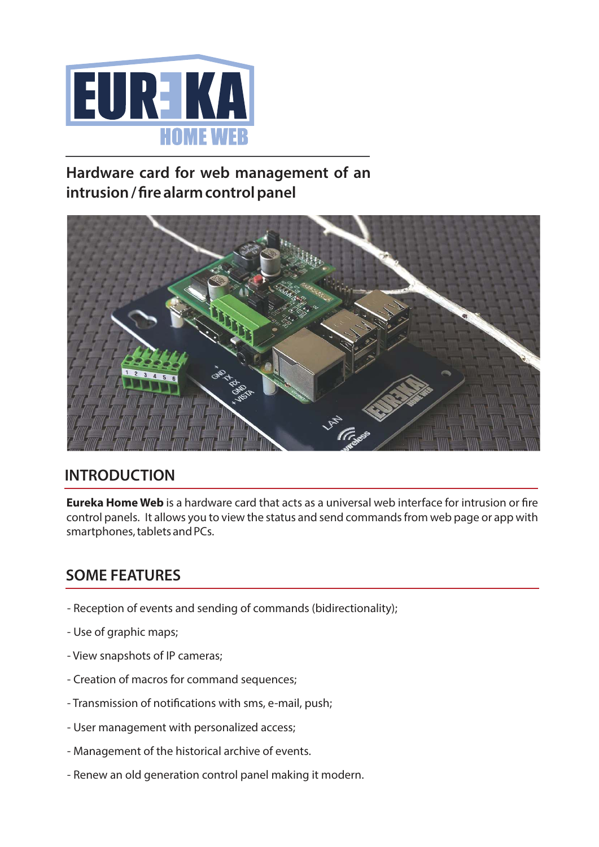

## **Hardware card for web management of an** intrusion / fire alarm control panel



### **INTRODUCTION**

**Eureka Home Web** is a hardware card that acts as a universal web interface for intrusion or fire control panels. It allows you to view the status and send commands from web page or app with smartphones, tablets and PCs.

### **SOME FEATURES**

- Reception of events and sending of commands (bidirectionality);
- Use of graphic maps;
- View snapshots of IP cameras;
- Creation of macros for command sequences;
- Transmission of notifications with sms, e-mail, push;
- User management with personalized access;
- Management of the historical archive of events.
- Renew an old generation control panel making it modern.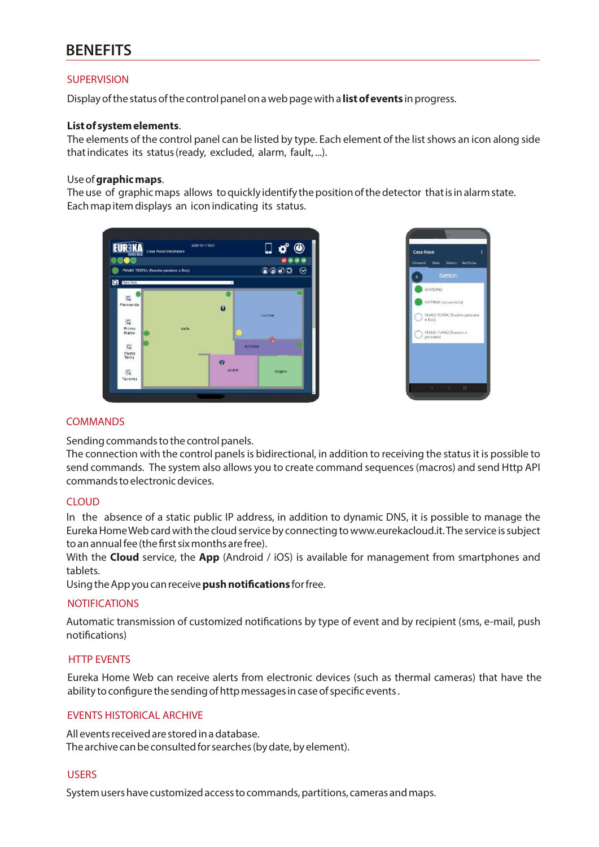### **BENEFITS**

#### **SUPERVISION**

Display of the status of the control panel on a web page with a **list of events** in progress.

#### **List of system elements**.

The elements of the control panel can be listed by type. Each element of the list shows an icon along side that indicates its status (ready, excluded, alarm, fault, ...).

#### Use of graphic maps.

The use of graphic maps allows to quickly identify the position of the detector that is in alarm state. Each map item displays an icon indicating its status.





#### COMMANDS

Sending commands to the control panels.

The connection with the control panels is bidirectional, in addition to receiving the status it is possible to send commands. The system also allows you to create command sequences (macros) and send Http API commands to electronic devices.

#### **CLOUD**

In the absence of a static public IP address, in addition to dynamic DNS, it is possible to manage the Eureka HomeWeb card with the cloud service by connecting to www.eurekacloud.it.The service is subject to an annual fee (the first six months are free).

With the **Cloud** service, the App (Android / iOS) is available for management from smartphones and tablets.

Using the App you can receive **push notifications** for free.

#### **NOTIFICATIONS**

Automatic transmission of customized notifications by type of event and by recipient (sms, e-mail, push notifications)

#### HTTP EVENTS

Eureka Home Web can receive alerts from electronic devices (such as thermal cameras) that have the ability to configure the sending of http messages in case of specific events.

#### EVENTS HISTORICAL ARCHIVE

All events received are stored in a database. The archive can be consulted for searches (by date, by element).

#### **USERS**

System users have customized access to commands, partitions, cameras and maps.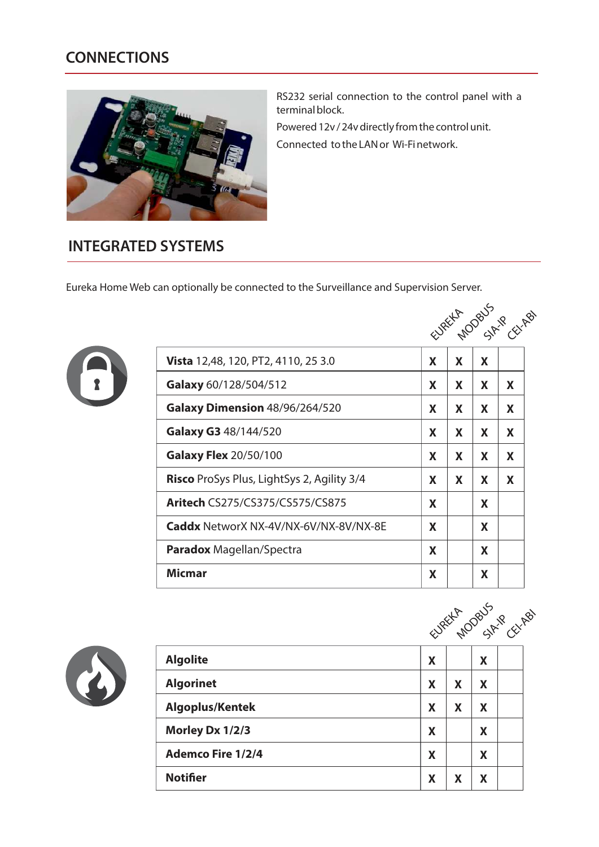## **CONNECTIONS**



RS232 serial connection to the control panel with a terminal block.

Powered 12v / 24v directly from the control unit.

Connected to the LAN or Wi-Finetwork.

### **INTEGRATED SYSTEMS**

Eureka Home Web can optionally be connected to the Surveillance and Supervision Server.



|                                                   |    |    |    | EURELLA DOBUS CELPBS |
|---------------------------------------------------|----|----|----|----------------------|
| <b>Vista</b> 12,48, 120, PT2, 4110, 25 3.0        | X  | X  | X  |                      |
| Galaxy 60/128/504/512                             | X  | X  | X. | X.                   |
| Galaxy Dimension 48/96/264/520                    | X. | X. | X. | X                    |
| Galaxy G3 48/144/520                              | X  | X  | X. | X                    |
| <b>Galaxy Flex 20/50/100</b>                      | X  | X  | X  | X                    |
| <b>Risco</b> ProSys Plus, LightSys 2, Agility 3/4 | X  | X  | X  | X                    |
| <b>Aritech CS275/CS375/CS575/CS875</b>            | X  |    | X  |                      |
| <b>Caddx</b> NetworX NX-4V/NX-6V/NX-8V/NX-8E      | X  |    | X  |                      |
| <b>Paradox</b> Magellan/Spectra                   | X  |    | X  |                      |
| Micmar                                            | X  |    | X  |                      |



|                          | EURELLA MODBUS CELAB |   |   |  |  |
|--------------------------|----------------------|---|---|--|--|
| <b>Algolite</b>          | X                    |   | X |  |  |
| <b>Algorinet</b>         | X                    | X | X |  |  |
| <b>Algoplus/Kentek</b>   | X                    | X | X |  |  |
| Morley Dx 1/2/3          | X                    |   | Χ |  |  |
| <b>Ademco Fire 1/2/4</b> | X                    |   | X |  |  |
| <b>Notifier</b>          | X                    | X | X |  |  |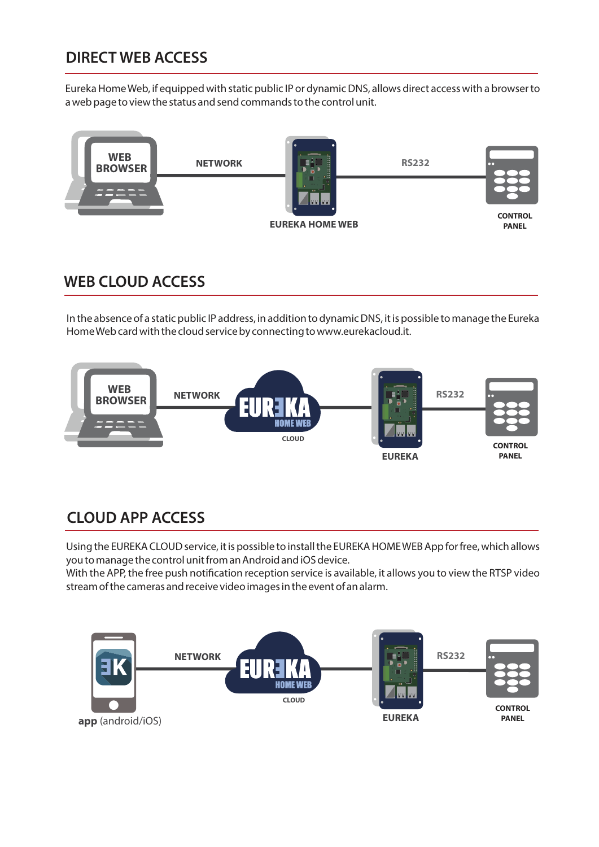## **DIRECT WEB ACCESS**

Eureka Home Web, if equipped with static public IP or dynamic DNS, allows direct access with a browser to a web page to view the status and send commands to the control unit.



### **WEB CLOUD ACCESS**

In the absence of a static public IP address, in addition to dynamic DNS, it is possible to manage the Eureka HomeWeb card with the cloud service by connecting to www.eurekacloud.it.



# **CLOUD APP ACCESS**

Using the EUREKA CLOUD service, it is possible to install the EUREKA HOMEWEB App for free, which allows you to manage the control unit from an Android and iOS device.

With the APP, the free push notification reception service is available, it allows you to view the RTSP video stream of the cameras and receive video images in the event of an alarm.

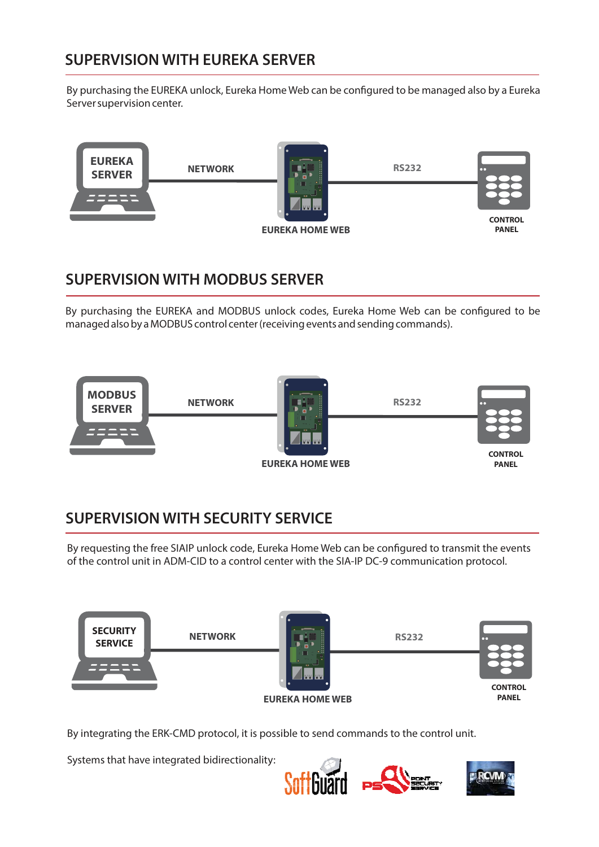## **SUPERVISION WITH EUREKA SERVER**

By purchasing the EUREKA unlock, Eureka Home Web can be configured to be managed also by a Eureka Server supervision center.



### **SUPERVISION WITH MODBUS SERVER**

By purchasing the EUREKA and MODBUS unlock codes, Eureka Home Web can be configured to be managed also by a MODBUS control center (receiving events and sending commands).



# **SUPERVISION WITH SECURITY SERVICE**

By requesting the free SIAIP unlock code, Eureka Home Web can be configured to transmit the events of the control unit in ADM-CID to a control center with the SIA-IP DC-9 communication protocol.



By integrating the ERK-CMD protocol, it is possible to send commands to the control unit.

Systems that have integrated bidirectionality: